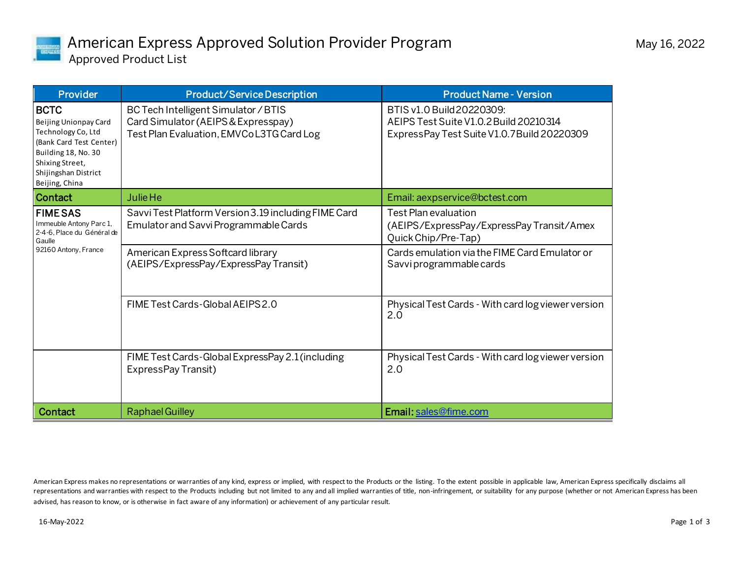

| <b>Provider</b>                                                                                                                                                           | <b>Product/Service Description</b>                                                                                      | <b>Product Name - Version</b>                                                                                      |
|---------------------------------------------------------------------------------------------------------------------------------------------------------------------------|-------------------------------------------------------------------------------------------------------------------------|--------------------------------------------------------------------------------------------------------------------|
| <b>BCTC</b><br>Beijing Unionpay Card<br>Technology Co, Ltd<br>(Bank Card Test Center)<br>Building 18, No. 30<br>Shixing Street,<br>Shijingshan District<br>Beijing, China | BC Tech Intelligent Simulator / BTIS<br>Card Simulator (AEIPS & Expresspay)<br>Test Plan Evaluation, EMVCoL3TG Card Log | BTIS v1.0 Build 20220309:<br>AEIPS Test Suite V1.0.2 Build 20210314<br>ExpressPay Test Suite V1.0.7 Build 20220309 |
| <b>Contact</b>                                                                                                                                                            | <b>Julie He</b>                                                                                                         | Email: aexpservice@bctest.com                                                                                      |
| <b>FIMESAS</b><br>Immeuble Antony Parc 1,<br>2-4-6, Place du Général de<br>Gaulle<br>92160 Antony, France                                                                 | Savvi Test Platform Version 3.19 including FIME Card<br>Emulator and Savvi Programmable Cards                           | <b>Test Plan evaluation</b><br>(AEIPS/ExpressPay/ExpressPay Transit/Amex<br>Quick Chip/Pre-Tap)                    |
|                                                                                                                                                                           | American Express Softcard library<br>(AEIPS/ExpressPay/ExpressPay Transit)                                              | Cards emulation via the FIME Card Emulator or<br>Savvi programmable cards                                          |
|                                                                                                                                                                           | FIME Test Cards-Global AEIPS 2.0                                                                                        | Physical Test Cards - With card log viewer version<br>2.0                                                          |
|                                                                                                                                                                           | FIME Test Cards-Global ExpressPay 2.1 (including<br>ExpressPay Transit)                                                 | Physical Test Cards - With card log viewer version<br>2.0                                                          |
| <b>Contact</b>                                                                                                                                                            | <b>Raphael Guilley</b>                                                                                                  | Email: sales@fime.com                                                                                              |

American Express makes no representations or warranties of any kind, express or implied, with respect to the Products or the listing. To the extent possible in applicable law, American Express specifically disclaims all representations and warranties with respect to the Products including but not limited to any and all implied warranties of title, non-infringement, or suitability for any purpose (whether or not American Express has been advised, has reason to know, or is otherwise in fact aware of any information) or achievement of any particular result.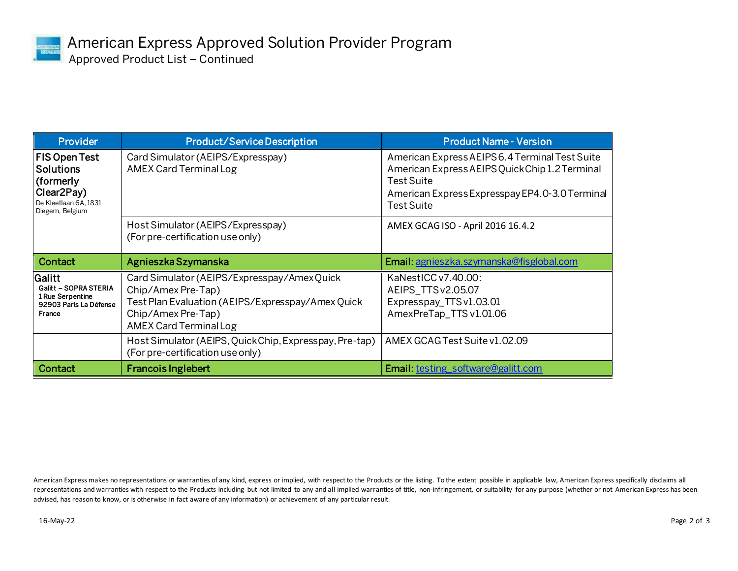

| <b>Provider</b>                                                                                                       | <b>Product/Service Description</b>                                                                                                                                           | <b>Product Name - Version</b>                                                                                                                                                  |
|-----------------------------------------------------------------------------------------------------------------------|------------------------------------------------------------------------------------------------------------------------------------------------------------------------------|--------------------------------------------------------------------------------------------------------------------------------------------------------------------------------|
| FIS Open Test<br><b>Solutions</b><br>(formerly<br>Clear <sub>2Pay</sub> )<br>De Kleetlaan 6A, 1831<br>Diegem, Belgium | Card Simulator (AEIPS/Expresspay)<br>AMEX Card Terminal Log                                                                                                                  | American Express AEIPS 6.4 Terminal Test Suite<br>American Express AEIPS Quick Chip 1.2 Terminal<br>Test Suite<br>American Express Expresspay EP4.0-3.0 Terminal<br>Test Suite |
|                                                                                                                       | Host Simulator (AEIPS/Expresspay)<br>(For pre-certification use only)                                                                                                        | AMEX GCAG ISO - April 2016 16.4.2                                                                                                                                              |
| Contact                                                                                                               | Agnieszka Szymanska                                                                                                                                                          | Email: agnieszka.szymanska@fisglobal.com                                                                                                                                       |
|                                                                                                                       |                                                                                                                                                                              |                                                                                                                                                                                |
| Galitt<br>Galitt - SOPRA STERIA<br>1 Rue Serpentine<br>92903 Paris La Défense<br>France                               | Card Simulator (AEIPS/Expresspay/AmexQuick<br>Chip/Amex Pre-Tap)<br>Test Plan Evaluation (AEIPS/Expresspay/Amex Quick<br>Chip/Amex Pre-Tap)<br><b>AMEX Card Terminal Log</b> | KaNestICC v7.40.00:<br>AEIPS_TTSv2.05.07<br>Expresspay_TTSv1.03.01<br>AmexPreTap_TTS v1.01.06                                                                                  |
|                                                                                                                       | Host Simulator (AEIPS, Quick Chip, Expresspay, Pre-tap)<br>(For pre-certification use only)                                                                                  | AMEX GCAG Test Suite v1.02.09                                                                                                                                                  |

American Express makes no representations or warranties of any kind, express or implied, with respect to the Products or the listing. To the extent possible in applicable law, American Express specifically disclaims all representations and warranties with respect to the Products including but not limited to any and all implied warranties of title, non-infringement, or suitability for any purpose (whether or not American Express has been advised, has reason to know, or is otherwise in fact aware of any information) or achievement of any particular result.